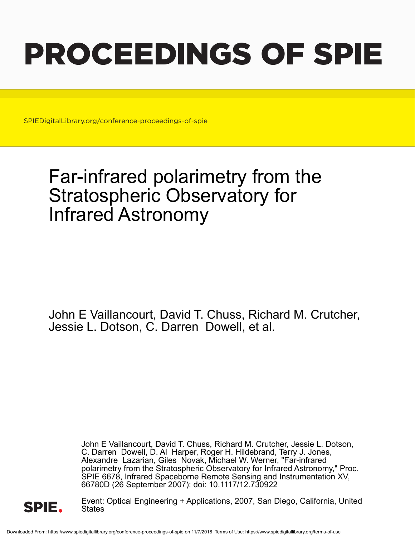# PROCEEDINGS OF SPIE

SPIEDigitalLibrary.org/conference-proceedings-of-spie

## Far-infrared polarimetry from the Stratospheric Observatory for Infrared Astronomy

John E Vaillancourt, David T. Chuss, Richard M. Crutcher, Jessie L. Dotson, C. Darren Dowell, et al.

> John E Vaillancourt, David T. Chuss, Richard M. Crutcher, Jessie L. Dotson, C. Darren Dowell, D. Al Harper, Roger H. Hildebrand, Terry J. Jones, Alexandre Lazarian, Giles Novak, Michael W. Werner, "Far-infrared polarimetry from the Stratospheric Observatory for Infrared Astronomy," Proc. SPIE 6678, Infrared Spaceborne Remote Sensing and Instrumentation XV, 66780D (26 September 2007); doi: 10.1117/12.730922



Event: Optical Engineering + Applications, 2007, San Diego, California, United **States**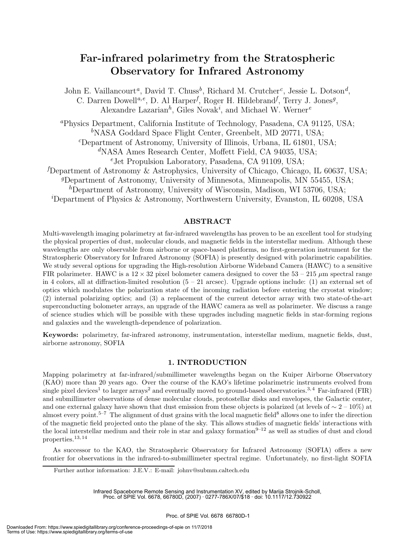### **Far-infrared polarimetry from the Stratospheric Observatory for Infrared Astronomy**

John E. Vaillancourt*a*, David T. Chuss*b*, Richard M. Crutcher*c*, Jessie L. Dotson*d*, C. Darren Dowell*a,e*, D. Al Harper*<sup>f</sup>* , Roger H. Hildebrand*<sup>f</sup>* , Terry J. Jones*g*, Alexandre Lazarian*h*, Giles Novak*<sup>i</sup>* , and Michael W. Werner*<sup>e</sup>*

*<sup>a</sup>*Physics Department, California Institute of Technology, Pasadena, CA 91125, USA; *<sup>b</sup>*NASA Goddard Space Flight Center, Greenbelt, MD 20771, USA; *<sup>c</sup>*Department of Astronomy, University of Illinois, Urbana, IL 61801, USA;

*<sup>d</sup>*NASA Ames Research Center, Moffett Field, CA 94035, USA;

*<sup>e</sup>*Jet Propulsion Laboratory, Pasadena, CA 91109, USA;

*f* Department of Astronomy & Astrophysics, University of Chicago, Chicago, IL 60637, USA;

*<sup>g</sup>*Department of Astronomy, University of Minnesota, Minneapolis, MN 55455, USA;

*<sup>h</sup>*Department of Astronomy, University of Wisconsin, Madison, WI 53706, USA;

*i* Department of Physics & Astronomy, Northwestern University, Evanston, IL 60208, USA

#### **ABSTRACT**

Multi-wavelength imaging polarimetry at far-infrared wavelengths has proven to be an excellent tool for studying the physical properties of dust, molecular clouds, and magnetic fields in the interstellar medium. Although these wavelengths are only observable from airborne or space-based platforms, no first-generation instrument for the Stratospheric Observatory for Infrared Astronomy (SOFIA) is presently designed with polarimetric capabilities. We study several options for upgrading the High-resolution Airborne Wideband Camera (HAWC) to a sensitive FIR polarimeter. HAWC is a  $12 \times 32$  pixel bolometer camera designed to cover the  $53 - 215 \mu m$  spectral range in 4 colors, all at diffraction-limited resolution  $(5 - 21 \text{ arcsec})$ . Upgrade options include: (1) an external set of optics which modulates the polarization state of the incoming radiation before entering the cryostat window; (2) internal polarizing optics; and (3) a replacement of the current detector array with two state-of-the-art superconducting bolometer arrays, an upgrade of the HAWC camera as well as polarimeter. We discuss a range of science studies which will be possible with these upgrades including magnetic fields in star-forming regions and galaxies and the wavelength-dependence of polarization.

**Keywords:** polarimetry, far-infrared astronomy, instrumentation, interstellar medium, magnetic fields, dust, airborne astronomy, SOFIA

#### **1. INTRODUCTION**

Mapping polarimetry at far-infrared/submillimeter wavelengths began on the Kuiper Airborne Observatory (KAO) more than 20 years ago. Over the course of the KAO's lifetime polarimetric instruments evolved from single pixel devices<sup>1</sup> to larger arrays<sup>2</sup> and eventually moved to ground-based observatories.<sup>3,4</sup> Far-infrared (FIR) and submillimeter observations of dense molecular clouds, protostellar disks and envelopes, the Galactic center, and one external galaxy have shown that dust emission from these objects is polarized (at levels of  $\sim 2 - 10\%$ ) at almost every point.<sup>5–7</sup> The alignment of dust grains with the local magnetic field<sup>8</sup> allows one to infer the direction of the magnetic field projected onto the plane of the sky. This allows studies of magnetic fields' interactions with the local interstellar medium and their role in star and galaxy formation $9-12$  as well as studies of dust and cloud properties.13, 14

As successor to the KAO, the Stratospheric Observatory for Infrared Astronomy (SOFIA) offers a new frontier for observations in the infrared-to-submillimeter spectral regime. Unfortunately, no first-light SOFIA

Further author information: J.E.V.: E-mail: johnv@submm.caltech.edu

Infrared Spaceborne Remote Sensing and Instrumentation XV, edited by Marija Strojnik-Scholl, Proc. of SPIE Vol. 6678, 66780D, (2007) · 0277-786X/07/\$18 · doi: 10.1117/12.730922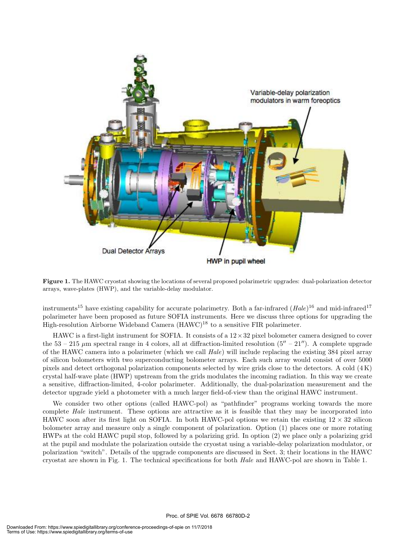

**Figure 1.** The HAWC cryostat showing the locations of several proposed polarimetric upgrades: dual-polarization detector arrays, wave-plates (HWP), and the variable-delay modulator.

instruments<sup>15</sup> have existing capability for accurate polarimetry. Both a far-infrared  $(Hale)^{16}$  and mid-infrared<sup>17</sup> polarimeter have been proposed as future SOFIA instruments. Here we discuss three options for upgrading the High-resolution Airborne Wideband Camera (HAWC)<sup>18</sup> to a sensitive FIR polarimeter.

HAWC is a first-light instrument for SOFIA. It consists of a  $12 \times 32$  pixel bolometer camera designed to cover the  $53 - 215 \ \mu m$  spectral range in 4 colors, all at diffraction-limited resolution  $(5'' - 21'')$ . A complete upgrade of the HAWC camera into a polarimeter (which we call *Hale*) will include replacing the existing 384 pixel array of silicon bolometers with two superconducting bolometer arrays. Each such array would consist of over 5000 pixels and detect orthogonal polarization components selected by wire grids close to the detectors. A cold (4 K) crystal half-wave plate (HWP) upstream from the grids modulates the incoming radiation. In this way we create a sensitive, diffraction-limited, 4-color polarimeter. Additionally, the dual-polarization measurement and the detector upgrade yield a photometer with a much larger field-of-view than the original HAWC instrument.

We consider two other options (called HAWC-pol) as "pathfinder" programs working towards the more complete *Hale* instrument. These options are attractive as it is feasible that they may be incorporated into HAWC soon after its first light on SOFIA. In both HAWC-pol options we retain the existing  $12 \times 32$  silicon bolometer array and measure only a single component of polarization. Option (1) places one or more rotating HWPs at the cold HAWC pupil stop, followed by a polarizing grid. In option (2) we place only a polarizing grid at the pupil and modulate the polarization outside the cryostat using a variable-delay polarization modulator, or polarization "switch". Details of the upgrade components are discussed in Sect. 3; their locations in the HAWC cryostat are shown in Fig. 1. The technical specifications for both *Hale* and HAWC-pol are shown in Table 1.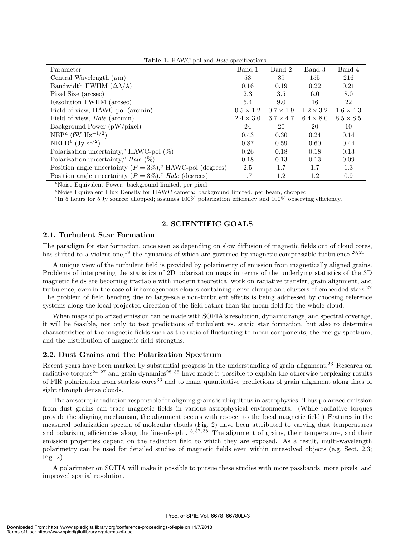| $\mathbf{r}$ and $\mathbf{r}$ , $\mathbf{r}$ , $\mathbf{r}$ and $\mathbf{r}$ and $\mathbf{r}$ and $\mathbf{r}$ are supported to $\mathbf{r}$<br>Parameter | Band 1           | Band 2           | Band 3           | Band 4           |
|-----------------------------------------------------------------------------------------------------------------------------------------------------------|------------------|------------------|------------------|------------------|
| Central Wavelength $(\mu m)$                                                                                                                              | 53               | 89               | 155              | 216              |
| Bandwidth FWHM $(\Delta \lambda / \lambda)$                                                                                                               | 0.16             | 0.19             | 0.22             | 0.21             |
| Pixel Size (arcsec)                                                                                                                                       | 2.3              | 3.5              | 6.0              | 8.0              |
| Resolution FWHM (arcsec)                                                                                                                                  | 5.4              | 9.0              | 16               | 22               |
| Field of view, HAWC-pol (arcmin)                                                                                                                          | $0.5 \times 1.2$ | $0.7 \times 1.9$ | $1.2 \times 3.2$ | $1.6 \times 4.3$ |
| Field of view, <i>Hale</i> (arcmin)                                                                                                                       | $2.4 \times 3.0$ | $3.7 \times 4.7$ | $6.4 \times 8.0$ | $8.5 \times 8.5$ |
| Background Power (pW/pixel)                                                                                                                               | 24               | 20               | 20               | 10               |
| NEP <sup><i>a</i></sup> (fW H <sub>z</sub> <sup>-1/2</sup> )                                                                                              | 0.43             | 0.30             | 0.24             | 0.14             |
| NEFD <sup>b</sup> (Jy $s^{1/2}$ )                                                                                                                         | 0.87             | 0.59             | 0.60             | 0.44             |
| Polarization uncertainty, <sup>c</sup> HAWC-pol $(\%)$                                                                                                    | 0.26             | 0.18             | 0.18             | 0.13             |
| Polarization uncertainty, <sup>c</sup> Hale $(\%)$                                                                                                        | 0.18             | 0.13             | 0.13             | 0.09             |
| Position angle uncertainty $(P = 3\%)$ , HAWC-pol (degrees)                                                                                               | 2.5              | 1.7              | 1.7              | 1.3              |
| Position angle uncertainty $(P = 3\%)$ , <i>Hale</i> (degrees)                                                                                            | 1.7              | 1.2              | 1.2              | 0.9              |

**Table 1.** HAWC-pol and *Hale* specifications.

*<sup>a</sup>*Noise Equivalent Power: background limited, per pixel

<sup>*b*</sup>Noise Equivalent Flux Density for HAWC camera: background limited, per beam, chopped

 ${}^{\text{c}}$ In 5 hours for 5 Jy source; chopped; assumes 100% polarization efficiency and 100% observing efficiency.

#### **2. SCIENTIFIC GOALS**

#### **2.1. Turbulent Star Formation**

The paradigm for star formation, once seen as depending on slow diffusion of magnetic fields out of cloud cores, has shifted to a violent one,<sup>19</sup> the dynamics of which are governed by magnetic compressible turbulence.<sup>20, 21</sup>

A unique view of the turbulent field is provided by polarimetry of emission from magnetically aligned grains. Problems of interpreting the statistics of 2D polarization maps in terms of the underlying statistics of the 3D magnetic fields are becoming tractable with modern theoretical work on radiative transfer, grain alignment, and turbulence, even in the case of inhomogeneous clouds containing dense clumps and clusters of embedded stars.<sup>22</sup> The problem of field bending due to large-scale non-turbulent effects is being addressed by choosing reference systems along the local projected direction of the field rather than the mean field for the whole cloud.

When maps of polarized emission can be made with SOFIA's resolution, dynamic range, and spectral coverage, it will be feasible, not only to test predictions of turbulent vs. static star formation, but also to determine characteristics of the magnetic fields such as the ratio of fluctuating to mean components, the energy spectrum, and the distribution of magnetic field strengths.

#### **2.2. Dust Grains and the Polarization Spectrum**

Recent years have been marked by substantial progress in the understanding of grain alignment.<sup>23</sup> Research on radiative torques<sup>24–27</sup> and grain dynamics<sup>28–35</sup> have made it possible to explain the otherwise perplexing results of FIR polarization from starless cores<sup>36</sup> and to make quantitative predictions of grain alignment along lines of sight through dense clouds.

The anisotropic radiation responsible for aligning grains is ubiquitous in astrophysics. Thus polarized emission from dust grains can trace magnetic fields in various astrophysical environments. (While radiative torques provide the aligning mechanism, the alignment occurs with respect to the local magnetic field.) Features in the measured polarization spectra of molecular clouds (Fig. 2) have been attributed to varying dust temperatures and polarizing efficiencies along the line-of-sight.<sup>13, 37, 38</sup> The alignment of grains, their temperature, and their emission properties depend on the radiation field to which they are exposed. As a result, multi-wavelength polarimetry can be used for detailed studies of magnetic fields even within unresolved objects (e.g. Sect. 2.3; Fig. 2).

A polarimeter on SOFIA will make it possible to pursue these studies with more passbands, more pixels, and improved spatial resolution.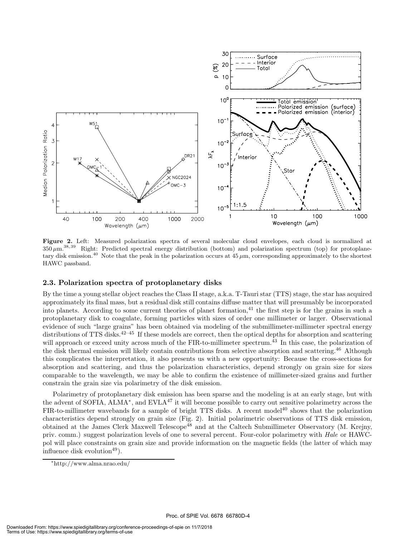

**Figure 2.** Left: Measured polarization spectra of several molecular cloud envelopes, each cloud is normalized at  $350 \,\mu \text{m}^{38,39}$  Right: Predicted spectral energy distribution (bottom) and polarization spectrum (top) for protoplanetary disk emission.<sup>40</sup> Note that the peak in the polarization occurs at  $45 \mu m$ , corresponding approximately to the shortest HAWC passband.

#### **2.3. Polarization spectra of protoplanetary disks**

By the time a young stellar object reaches the Class II stage, a.k.a. T-Tauri star (TTS) stage, the star has acquired approximately its final mass, but a residual disk still contains diffuse matter that will presumably be incorporated into planets. According to some current theories of planet formation, $^{41}$  the first step is for the grains in such a protoplanetary disk to coagulate, forming particles with sizes of order one millimeter or larger. Observational evidence of such "large grains" has been obtained via modeling of the submillimeter-millimeter spectral energy distributions of TTS disks.<sup>42–45</sup> If these models are correct, then the optical depths for absorption and scattering will approach or exceed unity across much of the FIR-to-millimeter spectrum.<sup>43</sup> In this case, the polarization of the disk thermal emission will likely contain contributions from selective absorption and scattering.<sup>46</sup> Although this complicates the interpretation, it also presents us with a new opportunity: Because the cross-sections for absorption and scattering, and thus the polarization characteristics, depend strongly on grain size for sizes comparable to the wavelength, we may be able to confirm the existence of millimeter-sized grains and further constrain the grain size via polarimetry of the disk emission.

Polarimetry of protoplanetary disk emission has been sparse and the modeling is at an early stage, but with the advent of SOFIA, ALMA∗, and EVLA<sup>47</sup> it will become possible to carry out sensitive polarimetry across the FIR-to-millimeter wavebands for a sample of bright TTS disks. A recent model<sup>40</sup> shows that the polarization characteristics depend strongly on grain size (Fig. 2). Initial polarimetric observations of TTS disk emission, obtained at the James Clerk Maxwell Telescope<sup>48</sup> and at the Caltech Submillimeter Observatory (M. Krejny, priv. comm.) suggest polarization levels of one to several percent. Four-color polarimetry with *Hale* or HAWCpol will place constraints on grain size and provide information on the magnetic fields (the latter of which may influence disk evolution<sup>49</sup>).

<sup>∗</sup>http://www.alma.nrao.edu/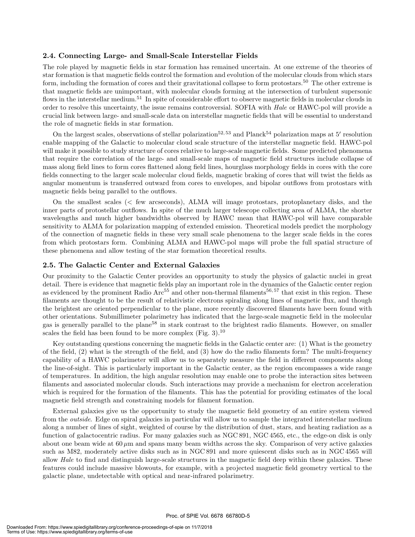#### **2.4. Connecting Large- and Small-Scale Interstellar Fields**

The role played by magnetic fields in star formation has remained uncertain. At one extreme of the theories of star formation is that magnetic fields control the formation and evolution of the molecular clouds from which stars form, including the formation of cores and their gravitational collapse to form protostars.<sup>50</sup> The other extreme is that magnetic fields are unimportant, with molecular clouds forming at the intersection of turbulent supersonic flows in the interstellar medium.<sup>51</sup> In spite of considerable effort to observe magnetic fields in molecular clouds in order to resolve this uncertainty, the issue remains controversial. SOFIA with *Hale* or HAWC-pol will provide a crucial link between large- and small-scale data on interstellar magnetic fields that will be essential to understand the role of magnetic fields in star formation.

On the largest scales, observations of stellar polarization<sup>52, 53</sup> and Planck<sup>54</sup> polarization maps at 5' resolution enable mapping of the Galactic to molecular cloud scale structure of the interstellar magnetic field. HAWC-pol will make it possible to study structure of cores relative to large-scale magnetic fields. Some predicted phenomena that require the correlation of the large- and small-scale maps of magnetic field structures include collapse of mass along field lines to form cores flattened along field lines, hourglass morphology fields in cores with the core fields connecting to the larger scale molecular cloud fields, magnetic braking of cores that will twist the fields as angular momentum is transferred outward from cores to envelopes, and bipolar outflows from protostars with magnetic fields being parallel to the outflows.

On the smallest scales (< few arcseconds), ALMA will image protostars, protoplanetary disks, and the inner parts of protostellar outflows. In spite of the much larger telescope collecting area of ALMA, the shorter wavelengths and much higher bandwidths observed by HAWC mean that HAWC-pol will have comparable sensitivity to ALMA for polarization mapping of extended emission. Theoretical models predict the morphology of the connection of magnetic fields in these very small scale phenomena to the larger scale fields in the cores from which protostars form. Combining ALMA and HAWC-pol maps will probe the full spatial structure of these phenomena and allow testing of the star formation theoretical results.

#### **2.5. The Galactic Center and External Galaxies**

Our proximity to the Galactic Center provides an opportunity to study the physics of galactic nuclei in great detail. There is evidence that magnetic fields play an important role in the dynamics of the Galactic center region as evidenced by the prominent Radio Arc<sup>55</sup> and other non-thermal filaments<sup>56, 57</sup> that exist in this region. These filaments are thought to be the result of relativistic electrons spiraling along lines of magnetic flux, and though the brightest are oriented perpendicular to the plane, more recently discovered filaments have been found with other orientations. Submillimeter polarimetry has indicated that the large-scale magnetic field in the molecular gas is generally parallel to the plane<sup>58</sup> in stark contrast to the brightest radio filaments. However, on smaller scales the field has been found to be more complex  $(Fig. 3).^{10}$ 

Key outstanding questions concerning the magnetic fields in the Galactic center are: (1) What is the geometry of the field, (2) what is the strength of the field, and (3) how do the radio filaments form? The multi-frequency capability of a HAWC polarimeter will allow us to separately measure the field in different components along the line-of-sight. This is particularly important in the Galactic center, as the region encompasses a wide range of temperatures. In addition, the high angular resolution may enable one to probe the interaction sites between filaments and associated molecular clouds. Such interactions may provide a mechanism for electron acceleration which is required for the formation of the filaments. This has the potential for providing estimates of the local magnetic field strength and constraining models for filament formation.

External galaxies give us the opportunity to study the magnetic field geometry of an entire system viewed from the *outside*. Edge on spiral galaxies in particular will allow us to sample the integrated interstellar medium along a number of lines of sight, weighted of course by the distribution of dust, stars, and heating radiation as a function of galactocentric radius. For many galaxies such as NGC 891, NGC 4565, etc., the edge-on disk is only about one beam wide at  $60 \mu m$  and spans many beam widths across the sky. Comparison of very active galaxies such as M82, moderately active disks such as in NGC 891 and more quiescent disks such as in NGC 4565 will allow *Hale* to find and distinguish large-scale structures in the magnetic field deep within these galaxies. These features could include massive blowouts, for example, with a projected magnetic field geometry vertical to the galactic plane, undetectable with optical and near-infrared polarimetry.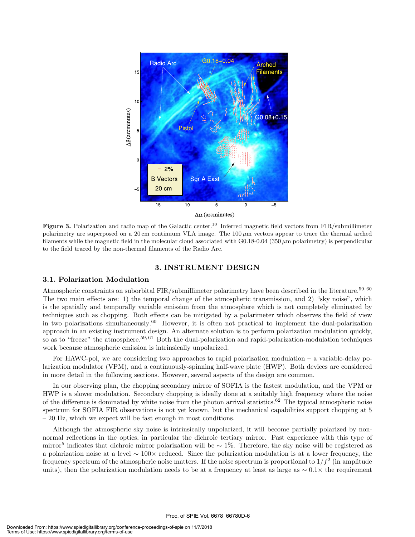

**Figure 3.** Polarization and radio map of the Galactic center.<sup>10</sup> Inferred magnetic field vectors from FIR/submillimeter polarimetry are superposed on a 20 cm continuum VLA image. The 100 *µ*m vectors appear to trace the thermal arched filaments while the magnetic field in the molecular cloud associated with  $G0.18-0.04$  (350  $\mu$ m polarimetry) is perpendicular to the field traced by the non-thermal filaments of the Radio Arc.

#### **3. INSTRUMENT DESIGN**

#### **3.1. Polarization Modulation**

Atmospheric constraints on suborbital FIR/submillimeter polarimetry have been described in the literature.<sup>59, 60</sup> The two main effects are: 1) the temporal change of the atmospheric transmission, and 2) "sky noise", which is the spatially and temporally variable emission from the atmosphere which is not completely eliminated by techniques such as chopping. Both effects can be mitigated by a polarimeter which observes the field of view in two polarizations simultaneously.<sup>60</sup> However, it is often not practical to implement the dual-polarization approach in an existing instrument design. An alternate solution is to perform polarization modulation quickly, so as to "freeze" the atmosphere.<sup>59, 61</sup> Both the dual-polarization and rapid-polarization-modulation techniques work because atmospheric emission is intrinsically unpolarized.

For HAWC-pol, we are considering two approaches to rapid polarization modulation – a variable-delay polarization modulator (VPM), and a continuously-spinning half-wave plate (HWP). Both devices are considered in more detail in the following sections. However, several aspects of the design are common.

In our observing plan, the chopping secondary mirror of SOFIA is the fastest modulation, and the VPM or HWP is a slower modulation. Secondary chopping is ideally done at a suitably high frequency where the noise of the difference is dominated by white noise from the photon arrival statistics.<sup>62</sup> The typical atmospheric noise spectrum for SOFIA FIR observations is not yet known, but the mechanical capabilities support chopping at 5 – 20 Hz, which we expect will be fast enough in most conditions.

Although the atmospheric sky noise is intrinsically unpolarized, it will become partially polarized by nonnormal reflections in the optics, in particular the dichroic tertiary mirror. Past experience with this type of mirror<sup>5</sup> indicates that dichroic mirror polarization will be  $\sim 1\%$ . Therefore, the sky noise will be registered as a polarization noise at a level ∼ 100× reduced. Since the polarization modulation is at a lower frequency, the frequency spectrum of the atmospheric noise matters. If the noise spectrum is proportional to  $1/f<sup>2</sup>$  (in amplitude units), then the polarization modulation needs to be at a frequency at least as large as  $\sim 0.1 \times$  the requirement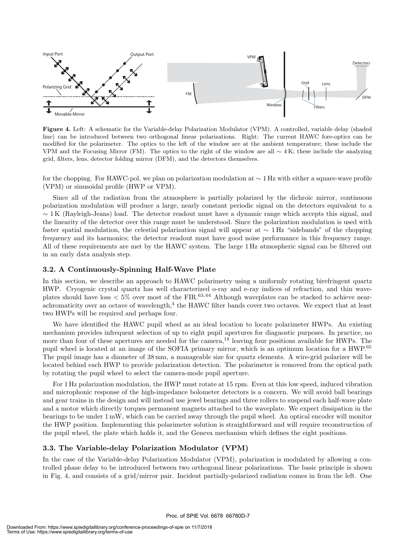

**Figure 4.** Left: A schematic for the Variable-delay Polarization Modulator (VPM). A controlled, variable delay (shaded line) can be introduced between two orthogonal linear polarizations. Right: The current HAWC fore-optics can be modified for the polarimeter. The optics to the left of the window are at the ambient temperature; these include the VPM and the Focusing Mirror (FM). The optics to the right of the window are all  $\sim 4$ K; these include the analyzing grid, filters, lens, detector folding mirror (DFM), and the detectors themselves.

for the chopping. For HAWC-pol, we plan on polarization modulation at ∼ 1 Hz with either a square-wave profile (VPM) or sinusoidal profile (HWP or VPM).

Since all of the radiation from the atmosphere is partially polarized by the dichroic mirror, continuous polarization modulation will produce a large, nearly constant periodic signal on the detectors equivalent to a  $\sim 1$  K (Rayleigh-Jeans) load. The detector readout must have a dynamic range which accepts this signal, and the linearity of the detector over this range must be understood. Since the polarization modulation is used with faster spatial modulation, the celestial polarization signal will appear at ∼ 1 Hz "sidebands" of the chopping frequency and its harmonics; the detector readout must have good noise performance in this frequency range. All of these requirements are met by the HAWC system. The large 1 Hz atmospheric signal can be filtered out in an early data analysis step.

#### **3.2. A Continuously-Spinning Half-Wave Plate**

In this section, we describe an approach to HAWC polarimetry using a uniformly rotating birefringent quartz HWP. Cryogenic crystal quartz has well characterized o-ray and e-ray indices of refraction, and thin waveplates should have loss  $\langle 5\%$  over most of the FIR.<sup>63,64</sup> Although waveplates can be stacked to achieve nearachromaticity over an octave of wavelength,<sup>4</sup> the HAWC filter bands cover two octaves. We expect that at least two HWPs will be required and perhaps four.

We have identified the HAWC pupil wheel as an ideal location to locate polarimeter HWPs. An existing mechanism provides infrequent selection of up to eight pupil apertures for diagnostic purposes. In practice, no more than four of these apertures are needed for the camera,<sup>18</sup> leaving four positions available for HWPs. The pupil wheel is located at an image of the SOFIA primary mirror, which is an optimum location for a HWP.<sup>65</sup> The pupil image has a diameter of 38 mm, a manageable size for quartz elements. A wire-grid polarizer will be located behind each HWP to provide polarization detection. The polarimeter is removed from the optical path by rotating the pupil wheel to select the camera-mode pupil aperture.

For 1 Hz polarization modulation, the HWP must rotate at 15 rpm. Even at this low speed, induced vibration and microphonic response of the high-impedance bolometer detectors is a concern. We will avoid ball bearings and gear trains in the design and will instead use jewel bearings and three rollers to suspend each half-wave plate and a motor which directly torques permanent magnets attached to the waveplate. We expect dissipation in the bearings to be under 1 mW, which can be carried away through the pupil wheel. An optical encoder will monitor the HWP position. Implementing this polarimeter solution is straightforward and will require reconstruction of the pupil wheel, the plate which holds it, and the Geneva mechanism which defines the eight positions.

#### **3.3. The Variable-delay Polarization Modulator (VPM)**

In the case of the Variable-delay Polarization Modulator (VPM), polarization is modulated by allowing a controlled phase delay to be introduced between two orthogonal linear polarizations. The basic principle is shown in Fig. 4, and consists of a grid/mirror pair. Incident partially-polarized radiation comes in from the left. One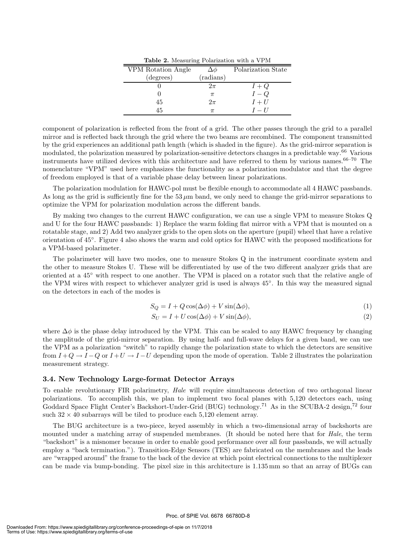| <b>Table 2.</b> Measuring Polarization with a VPM |           |                    |  |  |
|---------------------------------------------------|-----------|--------------------|--|--|
| VPM Rotation Angle                                | Δφ        | Polarization State |  |  |
| (degrees)                                         | (radians) |                    |  |  |
|                                                   | $2\pi$    | $I+Q$              |  |  |
|                                                   | $\pi$     | $I-Q$              |  |  |
| 45                                                | $2\pi$    | $I+U$              |  |  |
| 45                                                |           | $I-U$              |  |  |

component of polarization is reflected from the front of a grid. The other passes through the grid to a parallel mirror and is reflected back through the grid where the two beams are recombined. The component transmitted by the grid experiences an additional path length (which is shaded in the figure). As the grid-mirror separation is modulated, the polarization measured by polarization-sensitive detectors changes in a predictable way.<sup>66</sup> Various instruments have utilized devices with this architecture and have referred to them by various names.  $66-70$  The nomenclature "VPM" used here emphasizes the functionality as a polarization modulator and that the degree of freedom employed is that of a variable phase delay between linear polarizations.

The polarization modulation for HAWC-pol must be flexible enough to accommodate all 4 HAWC passbands. As long as the grid is sufficiently fine for the  $53 \mu m$  band, we only need to change the grid-mirror separations to optimize the VPM for polarization modulation across the different bands.

By making two changes to the current HAWC configuration, we can use a single VPM to measure Stokes Q and U for the four HAWC passbands: 1) Replace the warm folding flat mirror with a VPM that is mounted on a rotatable stage, and 2) Add two analyzer grids to the open slots on the aperture (pupil) wheel that have a relative orientation of 45◦. Figure 4 also shows the warm and cold optics for HAWC with the proposed modifications for a VPM-based polarimeter.

The polarimeter will have two modes, one to measure Stokes Q in the instrument coordinate system and the other to measure Stokes U. These will be differentiated by use of the two different analyzer grids that are oriented at a 45◦ with respect to one another. The VPM is placed on a rotator such that the relative angle of the VPM wires with respect to whichever analyzer grid is used is always 45◦. In this way the measured signal on the detectors in each of the modes is

$$
S_Q = I + Q\cos(\Delta\phi) + V\sin(\Delta\phi),\tag{1}
$$

$$
S_U = I + U\cos(\Delta\phi) + V\sin(\Delta\phi),\tag{2}
$$

where  $\Delta\phi$  is the phase delay introduced by the VPM. This can be scaled to any HAWC frequency by changing the amplitude of the grid-mirror separation. By using half- and full-wave delays for a given band, we can use the VPM as a polarization "switch" to rapidly change the polarization state to which the detectors are sensitive from  $I+Q \to I-Q$  or  $I+U \to I-U$  depending upon the mode of operation. Table 2 illustrates the polarization measurement strategy.

#### **3.4. New Technology Large-format Detector Arrays**

To enable revolutionary FIR polarimetry, *Hale* will require simultaneous detection of two orthogonal linear polarizations. To accomplish this, we plan to implement two focal planes with 5,120 detectors each, using Goddard Space Flight Center's Backshort-Under-Grid (BUG) technology.<sup>71</sup> As in the SCUBA-2 design,<sup>72</sup> four such  $32 \times 40$  subarrays will be tiled to produce each 5,120 element array.

The BUG architecture is a two-piece, keyed assembly in which a two-dimensional array of backshorts are mounted under a matching array of suspended membranes. (It should be noted here that for *Hale*, the term "backshort" is a misnomer because in order to enable good performance over all four passbands, we will actually employ a "back termination."). Transition-Edge Sensors (TES) are fabricated on the membranes and the leads are "wrapped around" the frame to the back of the device at which point electrical connections to the multiplexer can be made via bump-bonding. The pixel size in this architecture is 1.135 mm so that an array of BUGs can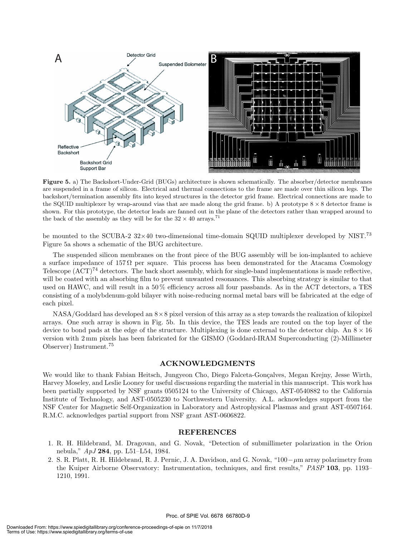

**Figure 5.** a) The Backshort-Under-Grid (BUGs) architecture is shown schematically. The absorber/detector membranes are suspended in a frame of silicon. Electrical and thermal connections to the frame are made over thin silicon legs. The backshort/termination assembly fits into keyed structures in the detector grid frame. Electrical connections are made to the SQUID multiplexer by wrap-around vias that are made along the grid frame. b) A prototype  $8 \times 8$  detector frame is shown. For this prototype, the detector leads are fanned out in the plane of the detectors rather than wrapped around to the back of the assembly as they will be for the  $32 \times 40$  arrays.<sup>71</sup>

be mounted to the SCUBA-2  $32\times40$  two-dimensional time-domain SQUID multiplexer developed by NIST.<sup>73</sup> Figure 5a shows a schematic of the BUG architecture.

The suspended silicon membranes on the front piece of the BUG assembly will be ion-implanted to achieve a surface impedance of 157 $\Omega$  per square. This process has been demonstrated for the Atacama Cosmology Telescope  $(ACT)<sup>74</sup> detectors.$  The back short assembly, which for single-band implementations is made reflective, will be coated with an absorbing film to prevent unwanted resonances. This absorbing strategy is similar to that used on HAWC, and will result in a 50% efficiency across all four passbands. As in the ACT detectors, a TES consisting of a molybdenum-gold bilayer with noise-reducing normal metal bars will be fabricated at the edge of each pixel.

 $NASA/Goddard$  has developed an  $8\times 8$  pixel version of this array as a step towards the realization of kilopixel arrays. One such array is shown in Fig. 5b. In this device, the TES leads are routed on the top layer of the device to bond pads at the edge of the structure. Multiplexing is done external to the detector chip. An  $8 \times 16$ version with 2 mm pixels has been fabricated for the GISMO (Goddard-IRAM Superconducting (2)-Millimeter Observer) Instrument.<sup>75</sup>

#### **ACKNOWLEDGMENTS**

We would like to thank Fabian Heitsch, Jungyeon Cho, Diego Falceta-Gonçalves, Megan Krejny, Jesse Wirth, Harvey Moseley, and Leslie Looney for useful discussions regarding the material in this manuscript. This work has been partially supported by NSF grants 0505124 to the University of Chicago, AST-0540882 to the California Institute of Technology, and AST-0505230 to Northwestern University. A.L. acknowledges support from the NSF Center for Magnetic Self-Organization in Laboratory and Astrophysical Plasmas and grant AST-0507164. R.M.C. acknowledges partial support from NSF grant AST-0606822.

#### **REFERENCES**

- 1. R. H. Hildebrand, M. Dragovan, and G. Novak, "Detection of submillimeter polarization in the Orion nebula," *ApJ* **284**, pp. L51–L54, 1984.
- 2. S. R. Platt, R. H. Hildebrand, R. J. Pernic, J. A. Davidson, and G. Novak, "100−µm array polarimetry from the Kuiper Airborne Observatory: Instrumentation, techniques, and first results," *PASP* **103**, pp. 1193– 1210, 1991.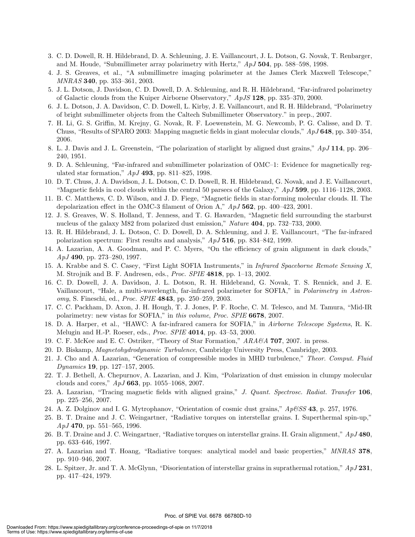- 3. C. D. Dowell, R. H. Hildebrand, D. A. Schleuning, J. E. Vaillancourt, J. L. Dotson, G. Novak, T. Renbarger, and M. Houde, "Submillimeter array polarimetry with Hertz," *ApJ* **504**, pp. 588–598, 1998.
- 4. J. S. Greaves, et al., "A submillimetre imaging polarimeter at the James Clerk Maxwell Telescope," *MNRAS* **340**, pp. 353–361, 2003.
- 5. J. L. Dotson, J. Davidson, C. D. Dowell, D. A. Schleuning, and R. H. Hildebrand, "Far-infrared polarimetry of Galactic clouds from the Kuiper Airborne Observatory," *ApJS* **128**, pp. 335–370, 2000.
- 6. J. L. Dotson, J. A. Davidson, C. D. Dowell, L. Kirby, J. E. Vaillancourt, and R. H. Hildebrand, "Polarimetry of bright submillimeter objects from the Caltech Submillimeter Observatory." in prep., 2007.
- 7. H. Li, G. S. Griffin, M. Krejny, G. Novak, R. F. Loewenstein, M. G. Newcomb, P. G. Calisse, and D. T. Chuss, "Results of SPARO 2003: Mapping magnetic fields in giant molecular clouds," *ApJ* **648**, pp. 340–354, 2006.
- 8. L. J. Davis and J. L. Greenstein, "The polarization of starlight by aligned dust grains," *ApJ* **114**, pp. 206– 240, 1951.
- 9. D. A. Schleuning, "Far-infrared and submillimeter polarization of OMC–1: Evidence for magnetically regulated star formation," *ApJ* **493**, pp. 811–825, 1998.
- 10. D. T. Chuss, J. A. Davidson, J. L. Dotson, C. D. Dowell, R. H. Hildebrand, G. Novak, and J. E. Vaillancourt, "Magnetic fields in cool clouds within the central 50 parsecs of the Galaxy," *ApJ* **599**, pp. 1116–1128, 2003.
- 11. B. C. Matthews, C. D. Wilson, and J. D. Fiege, "Magnetic fields in star-forming molecular clouds. II. The depolarization effect in the OMC-3 filament of Orion A," *ApJ* **562**, pp. 400–423, 2001.
- 12. J. S. Greaves, W. S. Holland, T. Jenness, and T. G. Hawarden, "Magnetic field surrounding the starburst nucleus of the galaxy M82 from polarized dust emission," *Nature* **404**, pp. 732–733, 2000.
- 13. R. H. Hildebrand, J. L. Dotson, C. D. Dowell, D. A. Schleuning, and J. E. Vaillancourt, "The far-infrared polarization spectrum: First results and analysis," *ApJ* **516**, pp. 834–842, 1999.
- 14. A. Lazarian, A. A. Goodman, and P. C. Myers, "On the efficiency of grain alignment in dark clouds," *ApJ* **490**, pp. 273–280, 1997.
- 15. A. Krabbe and S. C. Casey, "First Light SOFIA Instruments," in *Infrared Spaceborne Remote Sensing X*, M. Strojnik and B. F. Andresen, eds., *Proc. SPIE* **4818**, pp. 1–13, 2002.
- 16. C. D. Dowell, J. A. Davidson, J. L. Dotson, R. H. Hildebrand, G. Novak, T. S. Rennick, and J. E. Vaillancourt, "Hale, a multi-wavelength, far-infrared polarimeter for SOFIA," in *Polarimetry in Astronomy*, S. Fineschi, ed., *Proc. SPIE* **4843**, pp. 250–259, 2003.
- 17. C. C. Packham, D. Axon, J. H. Hough, T. J. Jones, P. F. Roche, C. M. Telesco, and M. Tamura, "Mid-IR polarimetry: new vistas for SOFIA," in *this volume*, *Proc. SPIE* **6678**, 2007.
- 18. D. A. Harper, et al., "HAWC: A far-infrared camera for SOFIA," in *Airborne Telescope Systems*, R. K. Melugin and H.-P. Roeser, eds., *Proc. SPIE* **4014**, pp. 43–53, 2000.
- 19. C. F. McKee and E. C. Ostriker, "Theory of Star Formation," *ARA&A* **707**, 2007. in press.
- 20. D. Biskamp, *Magnetohydrodynamic Turbulence*, Cambridge University Press, Cambridge, 2003.
- 21. J. Cho and A. Lazarian, "Generation of compressible modes in MHD turbulence," *Theor. Comput. Fluid Dynamics* **19**, pp. 127–157, 2005.
- 22. T. J. Bethell, A. Chepurnov, A. Lazarian, and J. Kim, "Polarization of dust emission in clumpy molecular clouds and cores," *ApJ* **663**, pp. 1055–1068, 2007.
- 23. A. Lazarian, "Tracing magnetic fields with aligned grains," *J. Quant. Spectrosc. Radiat. Transfer* **106**, pp. 225–256, 2007.
- 24. A. Z. Dolginov and I. G. Mytrophanov, "Orientation of cosmic dust grains," *Ap&SS* **43**, p. 257, 1976.
- 25. B. T. Draine and J. C. Weingartner, "Radiative torques on interstellar grains. I. Superthermal spin-up," *ApJ* **470**, pp. 551–565, 1996.
- 26. B. T. Draine and J. C. Weingartner, "Radiative torques on interstellar grains. II. Grain alignment," *ApJ* **480**, pp. 633–646, 1997.
- 27. A. Lazarian and T. Hoang, "Radiative torques: analytical model and basic properties," *MNRAS* **378**, pp. 910–946, 2007.
- 28. L. Spitzer, Jr. and T. A. McGlynn, "Disorientation of interstellar grains in suprathermal rotation," *ApJ* **231**, pp. 417–424, 1979.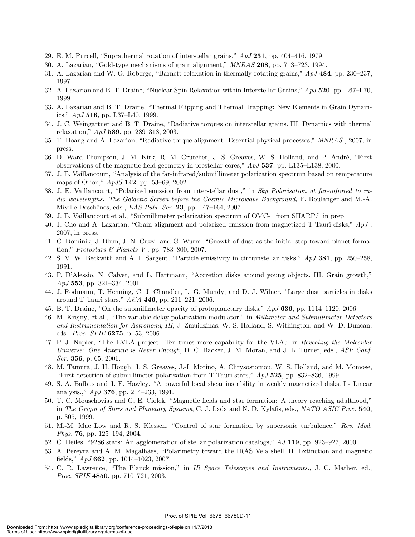- 29. E. M. Purcell, "Suprathermal rotation of interstellar grains," *ApJ* **231**, pp. 404–416, 1979.
- 30. A. Lazarian, "Gold-type mechanisms of grain alignment," *MNRAS* **268**, pp. 713–723, 1994.
- 31. A. Lazarian and W. G. Roberge, "Barnett relaxation in thermally rotating grains," *ApJ* **484**, pp. 230–237, 1997.
- 32. A. Lazarian and B. T. Draine, "Nuclear Spin Relaxation within Interstellar Grains," *ApJ* **520**, pp. L67–L70, 1999.
- 33. A. Lazarian and B. T. Draine, "Thermal Flipping and Thermal Trapping: New Elements in Grain Dynamics," *ApJ* **516**, pp. L37–L40, 1999.
- 34. J. C. Weingartner and B. T. Draine, "Radiative torques on interstellar grains. III. Dynamics with thermal relaxation," *ApJ* **589**, pp. 289–318, 2003.
- 35. T. Hoang and A. Lazarian, "Radiative torque alignment: Essential physical processes," *MNRAS* , 2007, in press.
- 36. D. Ward-Thompson, J. M. Kirk, R. M. Crutcher, J. S. Greaves, W. S. Holland, and P. André, "First observations of the magnetic field geometry in prestellar cores," *ApJ* **537**, pp. L135–L138, 2000.
- 37. J. E. Vaillancourt, "Analysis of the far-infrared/submillimeter polarization spectrum based on temperature maps of Orion," *ApJS* **142**, pp. 53–69, 2002.
- 38. J. E. Vaillancourt, "Polarized emission from interstellar dust," in *Sky Polarisation at far-infrared to radio wavelengths: The Galactic Screen before the Cosmic Microwave Background*, F. Boulanger and M.-A. Miville-Deschˆenes, eds., *EAS Publ. Ser.* **23**, pp. 147–164, 2007.
- 39. J. E. Vaillancourt et al., "Submillimeter polarization spectrum of OMC-1 from SHARP." in prep.
- 40. J. Cho and A. Lazarian, "Grain alignment and polarized emission from magnetized T Tauri disks," *ApJ* , 2007, in press.
- 41. C. Dominik, J. Blum, J. N. Cuzzi, and G. Wurm, "Growth of dust as the initial step toward planet formation," *Protostars & Planets V* , pp. 783–800, 2007.
- 42. S. V. W. Beckwith and A. I. Sargent, "Particle emissivity in circumstellar disks," *ApJ* **381**, pp. 250–258, 1991.
- 43. P. D'Alessio, N. Calvet, and L. Hartmann, "Accretion disks around young objects. III. Grain growth," *ApJ* **553**, pp. 321–334, 2001.
- 44. J. Rodmann, T. Henning, C. J. Chandler, L. G. Mundy, and D. J. Wilner, "Large dust particles in disks around T Tauri stars," *A&A* **446**, pp. 211–221, 2006.
- 45. B. T. Draine, "On the submillimeter opacity of protoplanetary disks," *ApJ* **636**, pp. 1114–1120, 2006.
- 46. M. Krejny, et al., "The variable-delay polarization modulator," in *Millimeter and Submillimeter Detectors and Instrumentation for Astronomy III*, J. Zmuidzinas, W. S. Holland, S. Withington, and W. D. Duncan, eds., *Proc. SPIE* **6275**, p. 53, 2006.
- 47. P. J. Napier, "The EVLA project: Ten times more capability for the VLA," in *Revealing the Molecular Universe: One Antenna is Never Enough*, D. C. Backer, J. M. Moran, and J. L. Turner, eds., *ASP Conf. Ser.* **356**, p. 65, 2006.
- 48. M. Tamura, J. H. Hough, J. S. Greaves, J.-I. Morino, A. Chrysostomou, W. S. Holland, and M. Momose, "First detection of submillimeter polarization from T Tauri stars," *ApJ* **525**, pp. 832–836, 1999.
- 49. S. A. Balbus and J. F. Hawley, "A powerful local shear instability in weakly magnetized disks. I Linear analysis.," *ApJ* **376**, pp. 214–233, 1991.
- 50. T. C. Mouschovias and G. E. Ciolek, "Magnetic fields and star formation: A theory reaching adulthood," in *The Origin of Stars and Planetary Systems*, C. J. Lada and N. D. Kylafis, eds., *NATO ASIC Proc.* **540**, p. 305, 1999.
- 51. M.-M. Mac Low and R. S. Klessen, "Control of star formation by supersonic turbulence," *Rev. Mod. Phys.* **76**, pp. 125–194, 2004.
- 52. C. Heiles, "9286 stars: An agglomeration of stellar polarization catalogs," *AJ* **119**, pp. 923–927, 2000.
- 53. A. Pereyra and A. M. Magalhães, "Polarimetry toward the IRAS Vela shell. II. Extinction and magnetic fields," *ApJ* **662**, pp. 1014–1023, 2007.
- 54. C. R. Lawrence, "The Planck mission," in *IR Space Telescopes and Instruments.*, J. C. Mather, ed., *Proc. SPIE* **4850**, pp. 710–721, 2003.